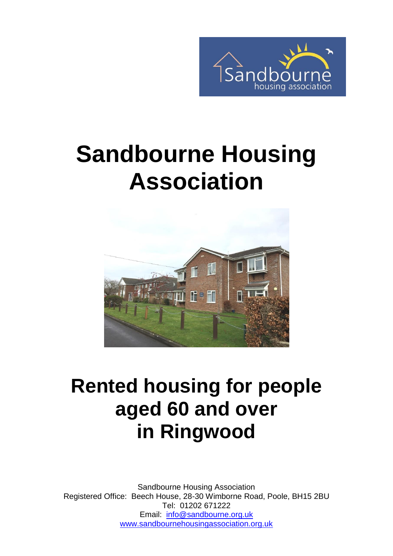

# **Sandbourne Housing Association**



# **Rented housing for people aged 60 and over in Ringwood**

Sandbourne Housing Association Registered Office: Beech House, 28-30 Wimborne Road, Poole, BH15 2BU Tel: 01202 671222 Email: [info@sandbourne.org.uk](mailto:info@sandbourne.org.uk) [www.sandbournehousingassociation.org.uk](http://www.sandbournehousingassociation.org.uk/)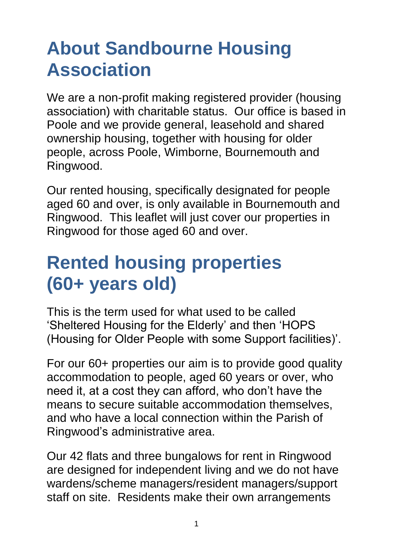## **About Sandbourne Housing Association**

We are a non-profit making registered provider (housing association) with charitable status. Our office is based in Poole and we provide general, leasehold and shared ownership housing, together with housing for older people, across Poole, Wimborne, Bournemouth and Ringwood.

Our rented housing, specifically designated for people aged 60 and over, is only available in Bournemouth and Ringwood. This leaflet will just cover our properties in Ringwood for those aged 60 and over.

#### **Rented housing properties (60+ years old)**

This is the term used for what used to be called 'Sheltered Housing for the Elderly' and then 'HOPS (Housing for Older People with some Support facilities)'.

For our 60+ properties our aim is to provide good quality accommodation to people, aged 60 years or over, who need it, at a cost they can afford, who don't have the means to secure suitable accommodation themselves, and who have a local connection within the Parish of Ringwood's administrative area.

Our 42 flats and three bungalows for rent in Ringwood are designed for independent living and we do not have wardens/scheme managers/resident managers/support staff on site. Residents make their own arrangements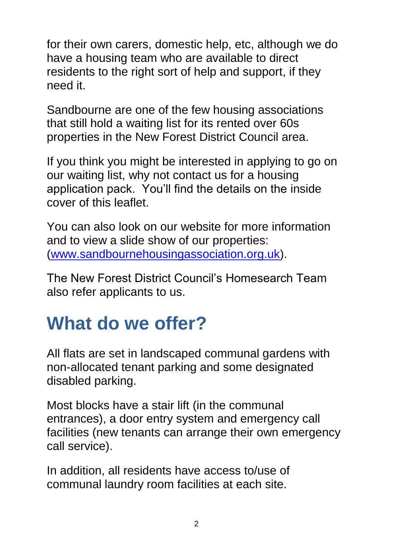for their own carers, domestic help, etc, although we do have a housing team who are available to direct residents to the right sort of help and support, if they need it.

Sandbourne are one of the few housing associations that still hold a waiting list for its rented over 60s properties in the New Forest District Council area.

If you think you might be interested in applying to go on our waiting list, why not contact us for a housing application pack. You'll find the details on the inside cover of this leaflet.

You can also look on our website for more information and to view a slide show of our properties: [\(www.sandbournehousingassociation.org.uk\)](http://www.sandbournehousingassociation.org.uk/).

The New Forest District Council's Homesearch Team also refer applicants to us.

# **What do we offer?**

All flats are set in landscaped communal gardens with non-allocated tenant parking and some designated disabled parking.

Most blocks have a stair lift (in the communal entrances), a door entry system and emergency call facilities (new tenants can arrange their own emergency call service).

In addition, all residents have access to/use of communal laundry room facilities at each site.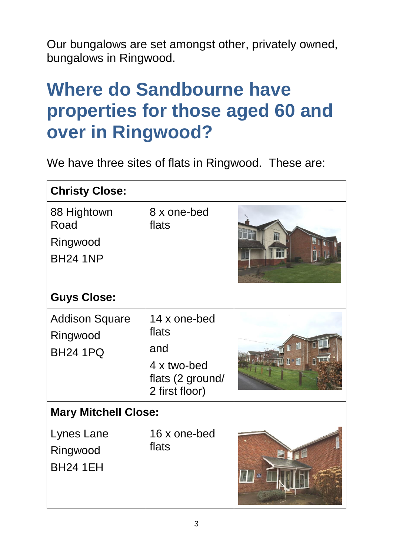Our bungalows are set amongst other, privately owned, bungalows in Ringwood.

### **Where do Sandbourne have properties for those aged 60 and over in Ringwood?**

We have three sites of flats in Ringwood. These are:

| <b>Christy Close:</b>                                |                                                                                   |                                                    |  |
|------------------------------------------------------|-----------------------------------------------------------------------------------|----------------------------------------------------|--|
| 88 Hightown<br>Road<br>Ringwood<br><b>BH24 1NP</b>   | 8 x one-bed<br>flats                                                              | in                                                 |  |
| <b>Guys Close:</b>                                   |                                                                                   |                                                    |  |
| <b>Addison Square</b><br>Ringwood<br><b>BH24 1PQ</b> | 14 x one-bed<br>flats<br>and<br>4 x two-bed<br>flats (2 ground/<br>2 first floor) | $\overline{\mathbb{D}}$ if $\overline{\mathbb{D}}$ |  |
| <b>Mary Mitchell Close:</b>                          |                                                                                   |                                                    |  |
| Lynes Lane<br>Ringwood<br><b>BH24 1EH</b>            | 16 x one-bed<br>flats                                                             |                                                    |  |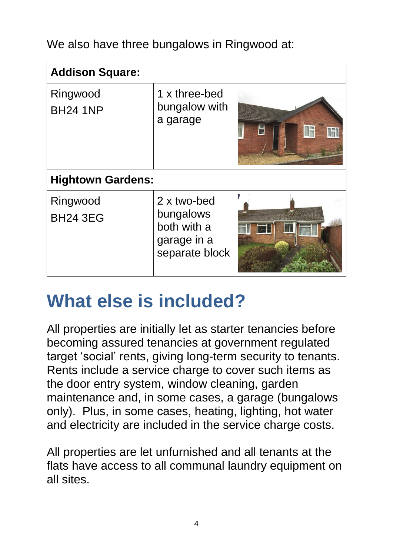We also have three bungalows in Ringwood at:

| <b>Addison Square:</b>      |                                                                          |   |  |
|-----------------------------|--------------------------------------------------------------------------|---|--|
| Ringwood<br><b>BH24 1NP</b> | 1 x three-bed<br>bungalow with<br>a garage                               | H |  |
| <b>Hightown Gardens:</b>    |                                                                          |   |  |
| Ringwood<br><b>BH24 3EG</b> | 2 x two-bed<br>bungalows<br>both with a<br>garage in a<br>separate block |   |  |

#### **What else is included?**

All properties are initially let as starter tenancies before becoming assured tenancies at government regulated target 'social' rents, giving long-term security to tenants. Rents include a service charge to cover such items as the door entry system, window cleaning, garden maintenance and, in some cases, a garage (bungalows only). Plus, in some cases, heating, lighting, hot water and electricity are included in the service charge costs.

All properties are let unfurnished and all tenants at the flats have access to all communal laundry equipment on all sites.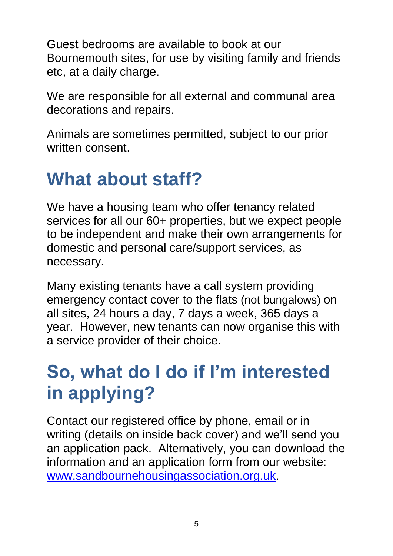Guest bedrooms are available to book at our Bournemouth sites, for use by visiting family and friends etc, at a daily charge.

We are responsible for all external and communal area decorations and repairs.

Animals are sometimes permitted, subject to our prior written consent.

#### **What about staff?**

We have a housing team who offer tenancy related services for all our 60+ properties, but we expect people to be independent and make their own arrangements for domestic and personal care/support services, as necessary.

Many existing tenants have a call system providing emergency contact cover to the flats (not bungalows) on all sites, 24 hours a day, 7 days a week, 365 days a year. However, new tenants can now organise this with a service provider of their choice.

# **So, what do I do if I'm interested in applying?**

Contact our registered office by phone, email or in writing (details on inside back cover) and we'll send you an application pack. Alternatively, you can download the information and an application form from our website: [www.sandbournehousingassociation.org.uk.](http://www.sandbournehousingassociation.org.uk/)